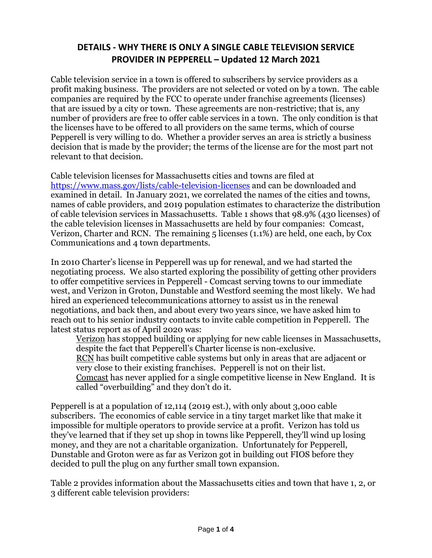## **DETAILS - WHY THERE IS ONLY A SINGLE CABLE TELEVISION SERVICE PROVIDER IN PEPPERELL – Updated 12 March 2021**

Cable television service in a town is offered to subscribers by service providers as a profit making business. The providers are not selected or voted on by a town. The cable companies are required by the FCC to operate under franchise agreements (licenses) that are issued by a city or town. These agreements are non-restrictive; that is, any number of providers are free to offer cable services in a town. The only condition is that the licenses have to be offered to all providers on the same terms, which of course Pepperell is very willing to do. Whether a provider serves an area is strictly a business decision that is made by the provider; the terms of the license are for the most part not relevant to that decision.

Cable television licenses for Massachusetts cities and towns are filed at <https://www.mass.gov/lists/cable-television-licenses> and can be downloaded and examined in detail. In January 2021, we correlated the names of the cities and towns, names of cable providers, and 2019 population estimates to characterize the distribution of cable television services in Massachusetts. Table 1 shows that 98.9% (430 licenses) of the cable television licenses in Massachusetts are held by four companies: Comcast, Verizon, Charter and RCN. The remaining 5 licenses (1.1%) are held, one each, by Cox Communications and 4 town departments.

In 2010 Charter's license in Pepperell was up for renewal, and we had started the negotiating process. We also started exploring the possibility of getting other providers to offer competitive services in Pepperell - Comcast serving towns to our immediate west, and Verizon in Groton, Dunstable and Westford seeming the most likely. We had hired an experienced telecommunications attorney to assist us in the renewal negotiations, and back then, and about every two years since, we have asked him to reach out to his senior industry contacts to invite cable competition in Pepperell. The latest status report as of April 2020 was:

Verizon has stopped building or applying for new cable licenses in Massachusetts, despite the fact that Pepperell's Charter license is non-exclusive. RCN has built competitive cable systems but only in areas that are adjacent or very close to their existing franchises. Pepperell is not on their list. Comcast has never applied for a single competitive license in New England. It is called "overbuilding" and they don't do it.

Pepperell is at a population of 12,114 (2019 est.), with only about 3,000 cable subscribers. The economics of cable service in a tiny target market like that make it impossible for multiple operators to provide service at a profit. Verizon has told us they've learned that if they set up shop in towns like Pepperell, they'll wind up losing money, and they are not a charitable organization. Unfortunately for Pepperell, Dunstable and Groton were as far as Verizon got in building out FIOS before they decided to pull the plug on any further small town expansion.

Table 2 provides information about the Massachusetts cities and town that have 1, 2, or 3 different cable television providers: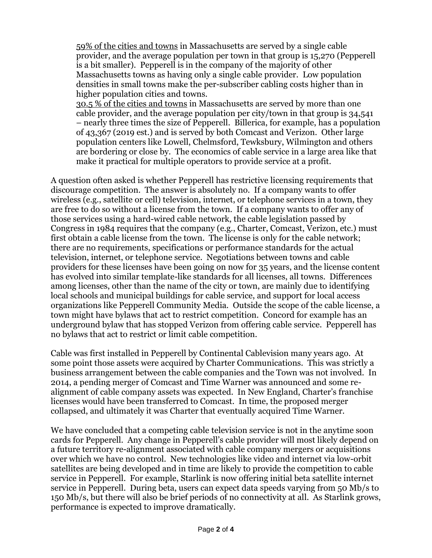59% of the cities and towns in Massachusetts are served by a single cable provider, and the average population per town in that group is 15,270 (Pepperell is a bit smaller). Pepperell is in the company of the majority of other Massachusetts towns as having only a single cable provider. Low population densities in small towns make the per-subscriber cabling costs higher than in higher population cities and towns.

30.5 % of the cities and towns in Massachusetts are served by more than one cable provider, and the average population per city/town in that group is 34,541 – nearly three times the size of Pepperell. Billerica, for example, has a population of 43,367 (2019 est.) and is served by both Comcast and Verizon. Other large population centers like Lowell, Chelmsford, Tewksbury, Wilmington and others are bordering or close by. The economics of cable service in a large area like that make it practical for multiple operators to provide service at a profit.

A question often asked is whether Pepperell has restrictive licensing requirements that discourage competition. The answer is absolutely no. If a company wants to offer wireless (e.g., satellite or cell) television, internet, or telephone services in a town, they are free to do so without a license from the town. If a company wants to offer any of those services using a hard-wired cable network, the cable legislation passed by Congress in 1984 requires that the company (e.g., Charter, Comcast, Verizon, etc.) must first obtain a cable license from the town. The license is only for the cable network; there are no requirements, specifications or performance standards for the actual television, internet, or telephone service. Negotiations between towns and cable providers for these licenses have been going on now for 35 years, and the license content has evolved into similar template-like standards for all licenses, all towns. Differences among licenses, other than the name of the city or town, are mainly due to identifying local schools and municipal buildings for cable service, and support for local access organizations like Pepperell Community Media. Outside the scope of the cable license, a town might have bylaws that act to restrict competition. Concord for example has an underground bylaw that has stopped Verizon from offering cable service. Pepperell has no bylaws that act to restrict or limit cable competition.

Cable was first installed in Pepperell by Continental Cablevision many years ago. At some point those assets were acquired by Charter Communications. This was strictly a business arrangement between the cable companies and the Town was not involved. In 2014, a pending merger of Comcast and Time Warner was announced and some realignment of cable company assets was expected. In New England, Charter's franchise licenses would have been transferred to Comcast. In time, the proposed merger collapsed, and ultimately it was Charter that eventually acquired Time Warner.

We have concluded that a competing cable television service is not in the anytime soon cards for Pepperell. Any change in Pepperell's cable provider will most likely depend on a future territory re-alignment associated with cable company mergers or acquisitions over which we have no control. New technologies like video and internet via low-orbit satellites are being developed and in time are likely to provide the competition to cable service in Pepperell. For example, Starlink is now offering initial beta satellite internet service in Pepperell. During beta, users can expect data speeds varying from 50 Mb/s to 150 Mb/s, but there will also be brief periods of no connectivity at all. As Starlink grows, performance is expected to improve dramatically.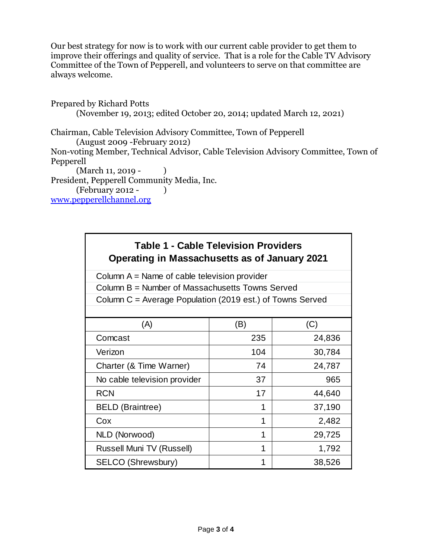Our best strategy for now is to work with our current cable provider to get them to improve their offerings and quality of service. That is a role for the Cable TV Advisory Committee of the Town of Pepperell, and volunteers to serve on that committee are always welcome.

Prepared by Richard Potts (November 19, 2013; edited October 20, 2014; updated March 12, 2021)

Chairman, Cable Television Advisory Committee, Town of Pepperell (August 2009 -February 2012) Non-voting Member, Technical Advisor, Cable Television Advisory Committee, Town of Pepperell  $(March 11, 2019 - )$ 

President, Pepperell Community Media, Inc.

(February 2012 - )

[www.pepperellchannel.org](http://www.pepperellchannel.org/)

## **Table 1 - Cable Television Providers Operating in Massachusetts as of January 2021**

Column A = Name of cable television provider

Column B = Number of Massachusetts Towns Served

Column C = Average Population (2019 est.) of Towns Served

| (A)                              | (B) | (C)    |  |
|----------------------------------|-----|--------|--|
| Comcast                          | 235 | 24,836 |  |
| Verizon                          | 104 | 30,784 |  |
| Charter (& Time Warner)          | 74  | 24,787 |  |
| No cable television provider     | 37  | 965    |  |
| <b>RCN</b>                       | 17  | 44,640 |  |
| <b>BELD</b> (Braintree)          | 1   | 37,190 |  |
| Cox                              | 1   | 2,482  |  |
| NLD (Norwood)                    | 1   | 29,725 |  |
| <b>Russell Muni TV (Russell)</b> | 1   | 1,792  |  |
| SELCO (Shrewsbury)               | 1   | 38,526 |  |